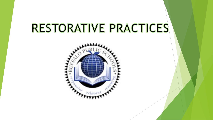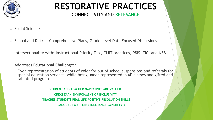

#### CONNECTIVITY AND RELEVANCE

Social Science

School and District Comprehensive Plans, Grade Level Data Focused Discussions

□ Intersectionality with: Instructional Priority Tool, CLRT practices, PBIS, TIC, and NEB

Addresses Educational Challenges:

Over-representation of students of color for out of school suspensions and referrals for special education services; while being under-represented in AP classes and gifted and talented programs.

> **STUDENT AND TEACHER NARRATIVES ARE VALUED CREATES AN ENVIRONMENT OF INCLUSIVITY TEACHES STUDENTS REAL LIFE POSITIVE RESOLUTION SKILLS LANGUAGE MATTERS (TOLERANCE, MINORITY!)**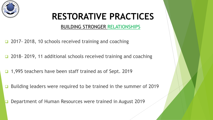

#### BUILDING STRONGER RELATIONSHIPS

**□ 2017- 2018, 10 schools received training and coaching** 

□ 2018- 2019, 11 additional schools received training and coaching

□ 1,995 teachers have been staff trained as of Sept. 2019

■ Building leaders were required to be trained in the summer of 2019

Department of Human Resources were trained in August 2019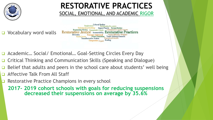

SOCIAL, EMOTIONAL, AND ACADEMIC RIGOR

■ Vocabulary word walls

**2011 | 2017 | 2017 | 2017 | 2017 | 2018 | 2018 | 2018 | 2019 | 2018 | 2019 | 2019 | 2019 | 2019 | 2019 | 2019**<br>2019 | 2019 | 2019 | 2019 | 2019 | 2019 | 2019 | 2019 | 2019 | 2019 | 2019 | 2019 | 2019 | 2019 | 2019 | 2019<br> Restorative Circles Community Courts **Collaborative Justice Courts Restorative Justice Diversion** Peace Promotion Youth Advisory Councils Procedural Justice **Transformative Justice** Compassion Repair Healing

- Academic… Social/ Emotional… Goal-Setting Circles Every Day
- Critical Thinking and Communication Skills (Speaking and Dialogue)
- $\Box$  Belief that adults and peers in the school care about students' well being
- **Q.** Affective Talk From All Staff
- Restorative Practice Champions in every school

**2017- 2019 cohort schools with goals for reducing suspensions decreased their suspensions on average by 35.6%**